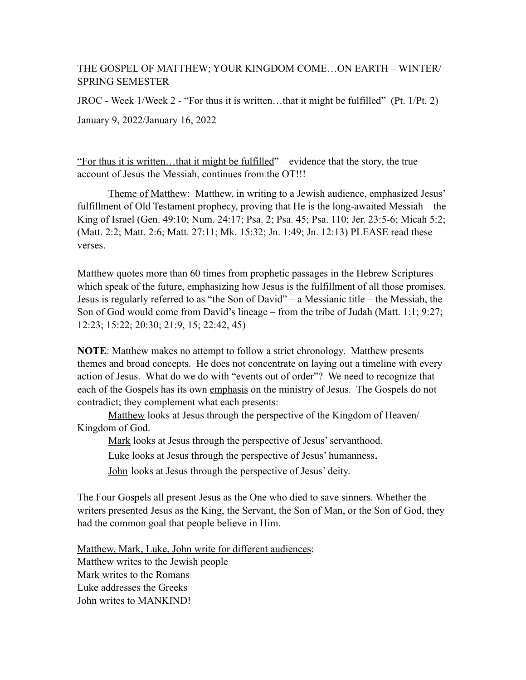## THE GOSPEL OF MATTHEW; YOUR KINGDOM COME…ON EARTH – WINTER/ SPRING SEMESTER

JROC - Week 1/Week 2 - "For thus it is written…that it might be fulfilled" (Pt. 1/Pt. 2) January 9, 2022/January 16, 2022

"For thus it is written…that it might be fulfilled" – evidence that the story, the true account of Jesus the Messiah, continues from the OT!!!

Theme of Matthew: Matthew, in writing to a Jewish audience, emphasized Jesus' fulfillment of Old Testament prophecy, proving that He is the long-awaited Messiah – the King of Israel (Gen. 49:10; Num. 24:17; Psa. 2; Psa. 45; Psa. 110; Jer. 23:5-6; Micah 5:2; (Matt. 2:2; Matt. 2:6; Matt. 27:11; Mk. 15:32; Jn. 1:49; Jn. 12:13) PLEASE read these verses.

Matthew quotes more than 60 times from prophetic passages in the Hebrew Scriptures which speak of the future, emphasizing how Jesus is the fulfillment of all those promises. Jesus is regularly referred to as "the Son of David" – a Messianic title – the Messiah, the Son of God would come from David's lineage – from the tribe of Judah (Matt. 1:1; 9:27; 12:23; 15:22; 20:30; 21:9, 15; 22:42, 45)

**NOTE**: Matthew makes no attempt to follow a strict chronology. Matthew presents themes and broad concepts. He does not concentrate on laying out a timeline with every action of Jesus. What do we do with "events out of order"? We need to recognize that each of the Gospels has its own emphasis on the ministry of Jesus. The Gospels do not contradict; they complement what each presents:

Matthew looks at Jesus through the perspective of the Kingdom of Heaven/ Kingdom of God.

Mark looks at Jesus through the perspective of Jesus' servanthood.

Luke looks at Jesus through the perspective of Jesus' humanness.

John looks at Jesus through the perspective of Jesus' deity.

The Four Gospels all present Jesus as the One who died to save sinners. Whether the writers presented Jesus as the King, the Servant, the Son of Man, or the Son of God, they had the common goal that people believe in Him.

Matthew, Mark, Luke, John write for different audiences: Matthew writes to the Jewish people Mark writes to the Romans Luke addresses the Greeks John writes to MANKIND!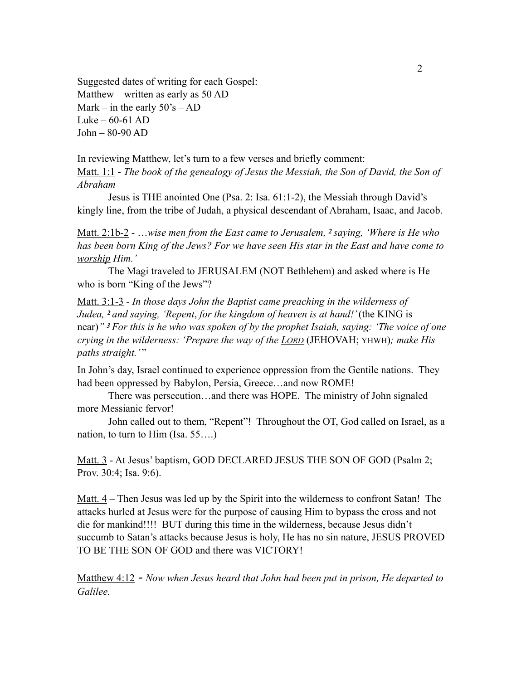Suggested dates of writing for each Gospel: Matthew – written as early as 50 AD Mark – in the early  $50\text{'s} - AD$ Luke –  $60-61$  AD John – 80-90 AD

In reviewing Matthew, let's turn to a few verses and briefly comment: Matt. 1:1 - *The book of the genealogy of Jesus the Messiah, the Son of David, the Son of Abraham*

Jesus is THE anointed One (Psa. 2: Isa. 61:1-2), the Messiah through David's kingly line, from the tribe of Judah, a physical descendant of Abraham, Isaac, and Jacob.

Matt. 2:1b-2 - …*wise men from the East came to Jerusalem, 2 saying, 'Where is He who has been born King of the Jews? For we have seen His star in the East and have come to worship Him.'*

The Magi traveled to JERUSALEM (NOT Bethlehem) and asked where is He who is born "King of the Jews"?

Matt. 3:1-3 - *In those days John the Baptist came preaching in the wilderness of Judea, 2 and saying, 'Repent*, *for the kingdom of heaven is at hand!'* (the KING is near)*" 3 For this is he who was spoken of by the prophet Isaiah, saying: 'The voice of one crying in the wilderness: 'Prepare the way of the LORD* (JEHOVAH; YHWH)*; make His paths straight.*"

In John's day, Israel continued to experience oppression from the Gentile nations. They had been oppressed by Babylon, Persia, Greece...and now ROME!

There was persecution…and there was HOPE. The ministry of John signaled more Messianic fervor!

John called out to them, "Repent"! Throughout the OT, God called on Israel, as a nation, to turn to Him (Isa. 55….)

Matt. 3 - At Jesus' baptism, GOD DECLARED JESUS THE SON OF GOD (Psalm 2; Prov. 30:4; Isa. 9:6).

Matt. 4 – Then Jesus was led up by the Spirit into the wilderness to confront Satan! The attacks hurled at Jesus were for the purpose of causing Him to bypass the cross and not die for mankind!!!! BUT during this time in the wilderness, because Jesus didn't succumb to Satan's attacks because Jesus is holy, He has no sin nature, JESUS PROVED TO BE THE SON OF GOD and there was VICTORY!

Matthew 4:12 - *Now when Jesus heard that John had been put in prison, He departed to Galilee.*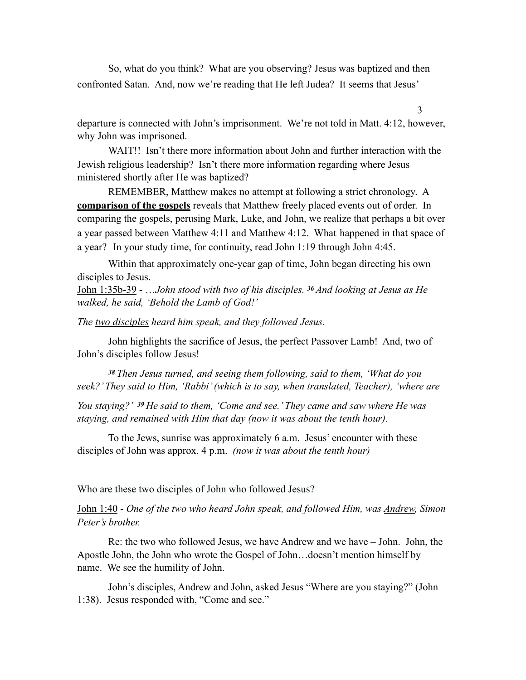So, what do you think? What are you observing? Jesus was baptized and then confronted Satan. And, now we're reading that He left Judea? It seems that Jesus'

departure is connected with John's imprisonment. We're not told in Matt. 4:12, however, why John was imprisoned.

WAIT!! Isn't there more information about John and further interaction with the Jewish religious leadership? Isn't there more information regarding where Jesus ministered shortly after He was baptized?

REMEMBER, Matthew makes no attempt at following a strict chronology. A **comparison of the gospels** reveals that Matthew freely placed events out of order. In comparing the gospels, perusing Mark, Luke, and John, we realize that perhaps a bit over a year passed between Matthew 4:11 and Matthew 4:12. What happened in that space of a year?In your study time, for continuity, read John 1:19 through John 4:45.

 Within that approximately one-year gap of time, John began directing his own disciples to Jesus.

John 1:35b-39 - …*John stood with two of his disciples. 36 And looking at Jesus as He walked, he said, 'Behold the Lamb of God!'* 

*The two disciples heard him speak, and they followed Jesus.* 

John highlights the sacrifice of Jesus, the perfect Passover Lamb! And, two of John's disciples follow Jesus!

*<sup>38</sup>Then Jesus turned, and seeing them following, said to them, 'What do you seek?' They said to Him, 'Rabbi' (which is to say, when translated, Teacher), 'where are* 

*You staying?' 39 He said to them, 'Come and see.' They came and saw where He was staying, and remained with Him that day (now it was about the tenth hour).* 

To the Jews, sunrise was approximately 6 a.m. Jesus' encounter with these disciples of John was approx. 4 p.m. *(now it was about the tenth hour)* 

Who are these two disciples of John who followed Jesus?

John 1:40 - *One of the two who heard John speak, and followed Him, was Andrew, Simon Peter's brother.*

Re: the two who followed Jesus, we have Andrew and we have – John. John, the Apostle John, the John who wrote the Gospel of John…doesn't mention himself by name. We see the humility of John.

 John's disciples, Andrew and John, asked Jesus "Where are you staying?" (John 1:38). Jesus responded with, "Come and see."

3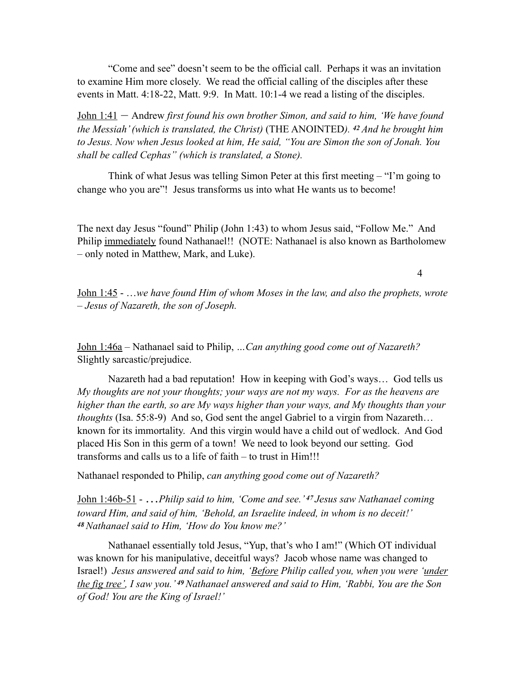"Come and see" doesn't seem to be the official call. Perhaps it was an invitation to examine Him more closely. We read the official calling of the disciples after these events in Matt. 4:18-22, Matt. 9:9. In Matt. 10:1-4 we read a listing of the disciples.

John 1:41 – Andrew *first found his own brother Simon, and said to him, 'We have found the Messiah' (which is translated, the Christ)* (THE ANOINTED*). 42 And he brought him to Jesus. Now when Jesus looked at him, He said, "You are Simon the son of Jonah. You shall be called Cephas" (which is translated, a Stone).* 

Think of what Jesus was telling Simon Peter at this first meeting – "I'm going to change who you are"! Jesus transforms us into what He wants us to become!

The next day Jesus "found" Philip (John 1:43) to whom Jesus said, "Follow Me." And Philip immediately found Nathanael!! (NOTE: Nathanael is also known as Bartholomew – only noted in Matthew, Mark, and Luke).

4

John 1:45 - …*we have found Him of whom Moses in the law, and also the prophets, wrote – Jesus of Nazareth, the son of Joseph.* 

John 1:46a – Nathanael said to Philip, *…Can anything good come out of Nazareth?*  Slightly sarcastic/prejudice.

Nazareth had a bad reputation! How in keeping with God's ways… God tells us *My thoughts are not your thoughts; your ways are not my ways. For as the heavens are higher than the earth, so are My ways higher than your ways, and My thoughts than your thoughts* (Isa. 55:8-9) And so, God sent the angel Gabriel to a virgin from Nazareth… known for its immortality. And this virgin would have a child out of wedlock. And God placed His Son in this germ of a town! We need to look beyond our setting. God transforms and calls us to a life of faith – to trust in Him!!!

Nathanael responded to Philip, *can anything good come out of Nazareth?*

John 1:46b-51 - …*Philip said to him, 'Come and see.' 47 Jesus saw Nathanael coming toward Him, and said of him, 'Behold, an Israelite indeed, in whom is no deceit!' <sup>48</sup>Nathanael said to Him, 'How do You know me?'* 

 Nathanael essentially told Jesus, "Yup, that's who I am!" (Which OT individual was known for his manipulative, deceitful ways? Jacob whose name was changed to Israel!) *Jesus answered and said to him, 'Before Philip called you, when you were 'under the fig tree', I saw you.' 49 Nathanael answered and said to Him, 'Rabbi, You are the Son of God! You are the King of Israel!'*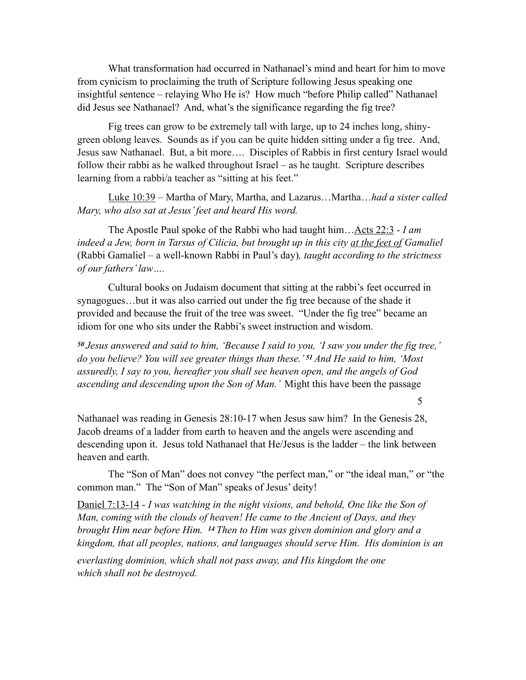What transformation had occurred in Nathanael's mind and heart for him to move from cynicism to proclaiming the truth of Scripture following Jesus speaking one insightful sentence – relaying Who He is? How much "before Philip called" Nathanael did Jesus see Nathanael? And, what's the significance regarding the fig tree?

 Fig trees can grow to be extremely tall with large, up to 24 inches long, shinygreen oblong leaves. Sounds as if you can be quite hidden sitting under a fig tree. And, Jesus saw Nathanael. But, a bit more…. Disciples of Rabbis in first century Israel would follow their rabbi as he walked throughout Israel – as he taught. Scripture describes learning from a rabbi/a teacher as "sitting at his feet."

Luke 10:39 – Martha of Mary, Martha, and Lazarus…Martha…*had a sister called Mary, who also sat at Jesus' feet and heard His word.* 

The Apostle Paul spoke of the Rabbi who had taught him…Acts 22:3 - *I am indeed a Jew, born in Tarsus of Cilicia, but brought up in this city at the feet of Gamaliel*  (Rabbi Gamaliel – a well-known Rabbi in Paul's day)*, taught according to the strictness of our fathers' law….* 

Cultural books on Judaism document that sitting at the rabbi's feet occurred in synagogues…but it was also carried out under the fig tree because of the shade it provided and because the fruit of the tree was sweet. "Under the fig tree" became an idiom for one who sits under the Rabbi's sweet instruction and wisdom.

*<sup>50</sup>Jesus answered and said to him, 'Because I said to you, 'I saw you under the fig tree,' do you believe? You will see greater things than these.' 51 And He said to him, 'Most assuredly, I say to you, hereafter you shall see heaven open, and the angels of God ascending and descending upon the Son of Man.'* Might this have been the passage

5

Nathanael was reading in Genesis 28:10-17 when Jesus saw him? In the Genesis 28, Jacob dreams of a ladder from earth to heaven and the angels were ascending and descending upon it. Jesus told Nathanael that He/Jesus is the ladder – the link between heaven and earth.

 The "Son of Man" does not convey "the perfect man," or "the ideal man," or "the common man." The "Son of Man" speaks of Jesus' deity!

Daniel 7:13-14 - *I was watching in the night visions, and behold, One like the Son of Man, coming with the clouds of heaven! He came to the Ancient of Days, and they brought Him near before Him. 14 Then to Him was given dominion and glory and a kingdom, that all peoples, nations, and languages should serve Him. His dominion is an everlasting dominion, which shall not pass away, and His kingdom the one which shall not be destroyed.*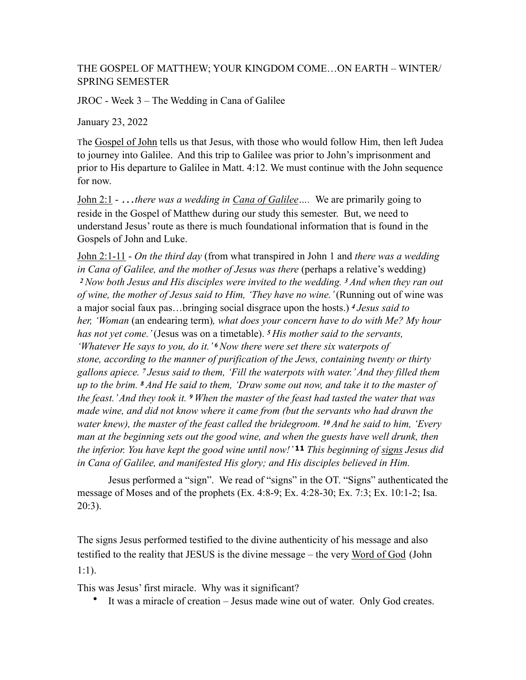## THE GOSPEL OF MATTHEW; YOUR KINGDOM COME…ON EARTH – WINTER/ SPRING SEMESTER

JROC - Week 3 – The Wedding in Cana of Galilee

January 23, 2022

The Gospel of John tells us that Jesus, with those who would follow Him, then left Judea to journey into Galilee. And this trip to Galilee was prior to John's imprisonment and prior to His departure to Galilee in Matt. 4:12. We must continue with the John sequence for now.

John 2:1 - …*there was a wedding in Cana of Galilee….* We are primarily going to reside in the Gospel of Matthew during our study this semester. But, we need to understand Jesus' route as there is much foundational information that is found in the Gospels of John and Luke.

John 2:1-11 - *On the third day* (from what transpired in John 1 and *there was a wedding in Cana of Galilee, and the mother of Jesus was there (perhaps a relative's wedding) <sup>2</sup>Now both Jesus and His disciples were invited to the wedding. 3 And when they ran out of wine, the mother of Jesus said to Him, 'They have no wine.'* (Running out of wine was a major social faux pas…bringing social disgrace upon the hosts.) *<sup>4</sup>Jesus said to her, 'Woman* (an endearing term)*, what does your concern have to do with Me? My hour has not yet come.'* (Jesus was on a timetable). *<sup>5</sup>His mother said to the servants, 'Whatever He says to you, do it.' 6 Now there were set there six waterpots of stone, according to the manner of purification of the Jews, containing twenty or thirty gallons apiece. 7 Jesus said to them, 'Fill the waterpots with water.' And they filled them up to the brim. 8 And He said to them, 'Draw some out now, and take it to the master of the feast.' And they took it. 9 When the master of the feast had tasted the water that was made wine, and did not know where it came from (but the servants who had drawn the water knew), the master of the feast called the bridegroom. 10 And he said to him, 'Every man at the beginning sets out the good wine, and when the guests have well drunk, then the inferior. You have kept the good wine until now!'* **11** *This beginning of signs Jesus did in Cana of Galilee, and manifested His glory; and His disciples believed in Him.* 

Jesus performed a "sign". We read of "signs" in the OT. "Signs" authenticated the message of Moses and of the prophets (Ex. 4:8-9; Ex. 4:28-30; Ex. 7:3; Ex. 10:1-2; Isa. 20:3).

The signs Jesus performed testified to the divine authenticity of his message and also testified to the reality that JESUS is the divine message – the very Word of God (John 1:1).

This was Jesus' first miracle. Why was it significant?

• It was a miracle of creation – Jesus made wine out of water. Only God creates.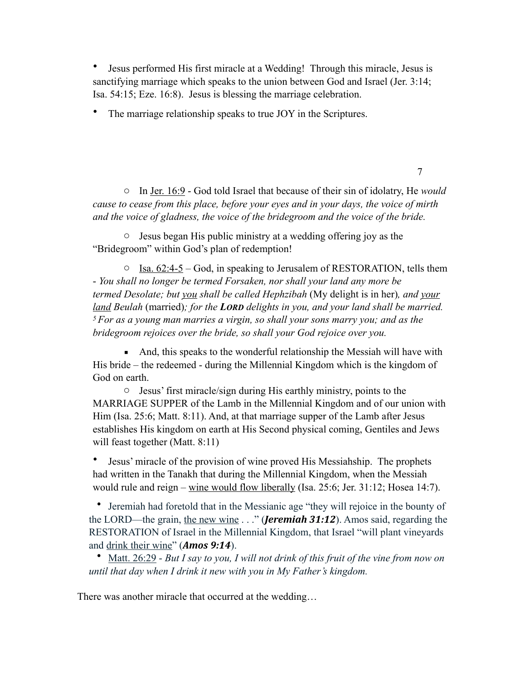• Jesus performed His first miracle at a Wedding! Through this miracle, Jesus is sanctifying marriage which speaks to the union between God and Israel (Jer. 3:14; Isa. 54:15; Eze. 16:8). Jesus is blessing the marriage celebration.

The marriage relationship speaks to true JOY in the Scriptures.

o In Jer. 16:9 - God told Israel that because of their sin of idolatry, He *would cause to cease from this place, before your eyes and in your days, the voice of mirth and the voice of gladness, the voice of the bridegroom and the voice of the bride.*

7

o Jesus began His public ministry at a wedding offering joy as the "Bridegroom" within God's plan of redemption!

 $\circ$  Isa. 62:4-5 – God, in speaking to Jerusalem of RESTORATION, tells them - *You shall no longer be termed Forsaken, nor shall your land any more be termed Desolate; but you shall be called Hephzibah* (My delight is in her)*, and your land Beulah* (married)*; for the LORD delights in you, and your land shall be married. 5 For as a young man marries a virgin, so shall your sons marry you; and as the bridegroom rejoices over the bride, so shall your God rejoice over you.* 

■ And, this speaks to the wonderful relationship the Messiah will have with His bride – the redeemed - during the Millennial Kingdom which is the kingdom of God on earth.

o Jesus' first miracle/sign during His earthly ministry, points to the MARRIAGE SUPPER of the Lamb in the Millennial Kingdom and of our union with Him (Isa. 25:6; Matt. 8:11). And, at that marriage supper of the Lamb after Jesus establishes His kingdom on earth at His Second physical coming, Gentiles and Jews will feast together (Matt. 8:11)

• Jesus' miracle of the provision of wine proved His Messiahship. The prophets had written in the Tanakh that during the Millennial Kingdom, when the Messiah would rule and reign – wine would flow liberally (Isa. 25:6; Jer. 31:12; Hosea 14:7).

• Jeremiah had foretold that in the Messianic age "they will rejoice in the bounty of the LORD—the grain, the new wine . . ." (*Jeremiah 31:12*). Amos said, regarding the RESTORATION of Israel in the Millennial Kingdom, that Israel "will plant vineyards and drink their wine" (**Amos 9:14**).

• Matt. 26:29 - *But I say to you, I will not drink of this fruit of the vine from now on until that day when I drink it new with you in My Father's kingdom.*

There was another miracle that occurred at the wedding…